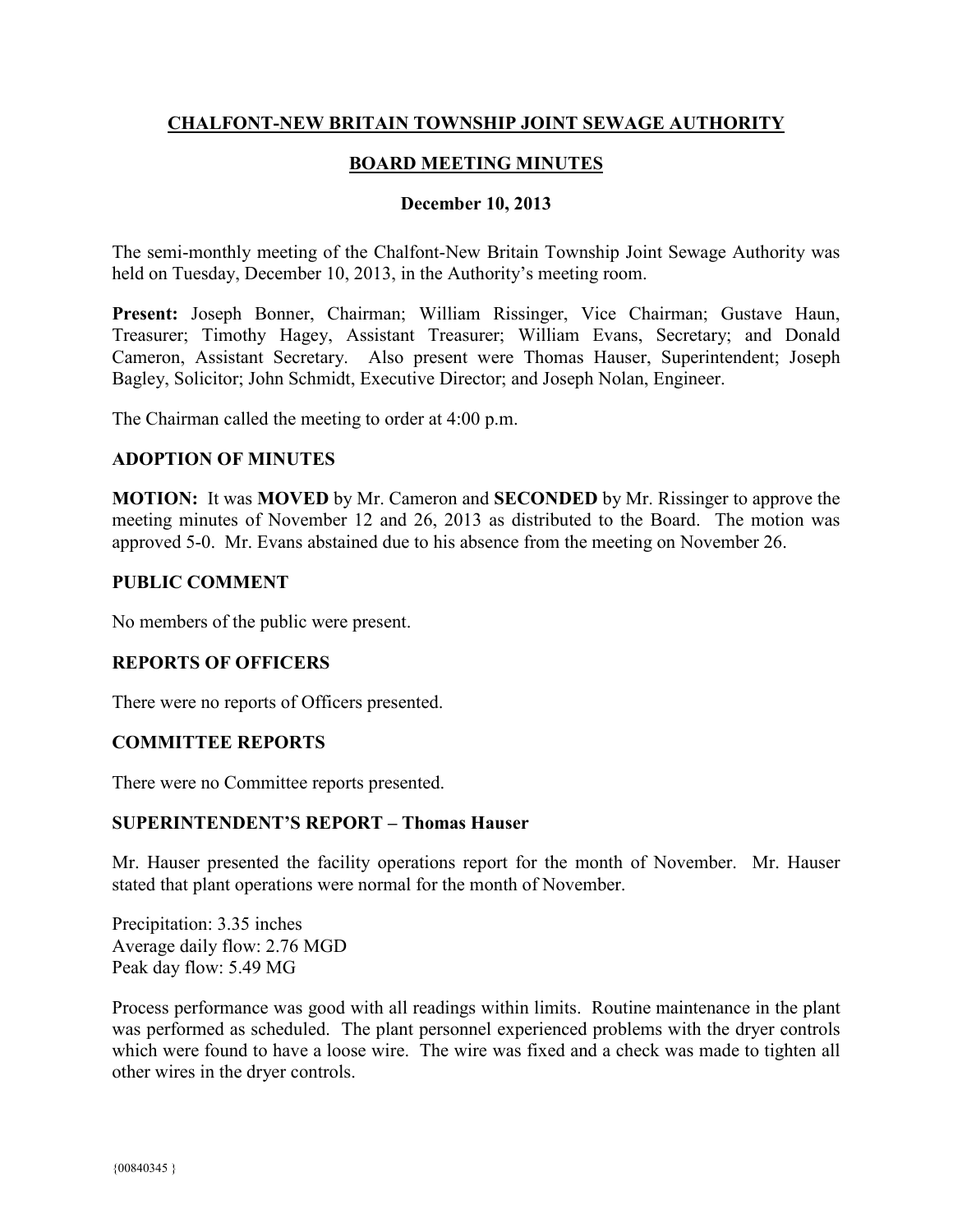# **CHALFONT-NEW BRITAIN TOWNSHIP JOINT SEWAGE AUTHORITY**

# **BOARD MEETING MINUTES**

## **December 10, 2013**

The semi-monthly meeting of the Chalfont-New Britain Township Joint Sewage Authority was held on Tuesday, December 10, 2013, in the Authority's meeting room.

**Present:** Joseph Bonner, Chairman; William Rissinger, Vice Chairman; Gustave Haun, Treasurer; Timothy Hagey, Assistant Treasurer; William Evans, Secretary; and Donald Cameron, Assistant Secretary. Also present were Thomas Hauser, Superintendent; Joseph Bagley, Solicitor; John Schmidt, Executive Director; and Joseph Nolan, Engineer.

The Chairman called the meeting to order at 4:00 p.m.

## **ADOPTION OF MINUTES**

**MOTION:** It was **MOVED** by Mr. Cameron and **SECONDED** by Mr. Rissinger to approve the meeting minutes of November 12 and 26, 2013 as distributed to the Board. The motion was approved 5-0. Mr. Evans abstained due to his absence from the meeting on November 26.

## **PUBLIC COMMENT**

No members of the public were present.

## **REPORTS OF OFFICERS**

There were no reports of Officers presented.

#### **COMMITTEE REPORTS**

There were no Committee reports presented.

#### **SUPERINTENDENT'S REPORT – Thomas Hauser**

Mr. Hauser presented the facility operations report for the month of November. Mr. Hauser stated that plant operations were normal for the month of November.

Precipitation: 3.35 inches Average daily flow: 2.76 MGD Peak day flow: 5.49 MG

Process performance was good with all readings within limits. Routine maintenance in the plant was performed as scheduled. The plant personnel experienced problems with the dryer controls which were found to have a loose wire. The wire was fixed and a check was made to tighten all other wires in the dryer controls.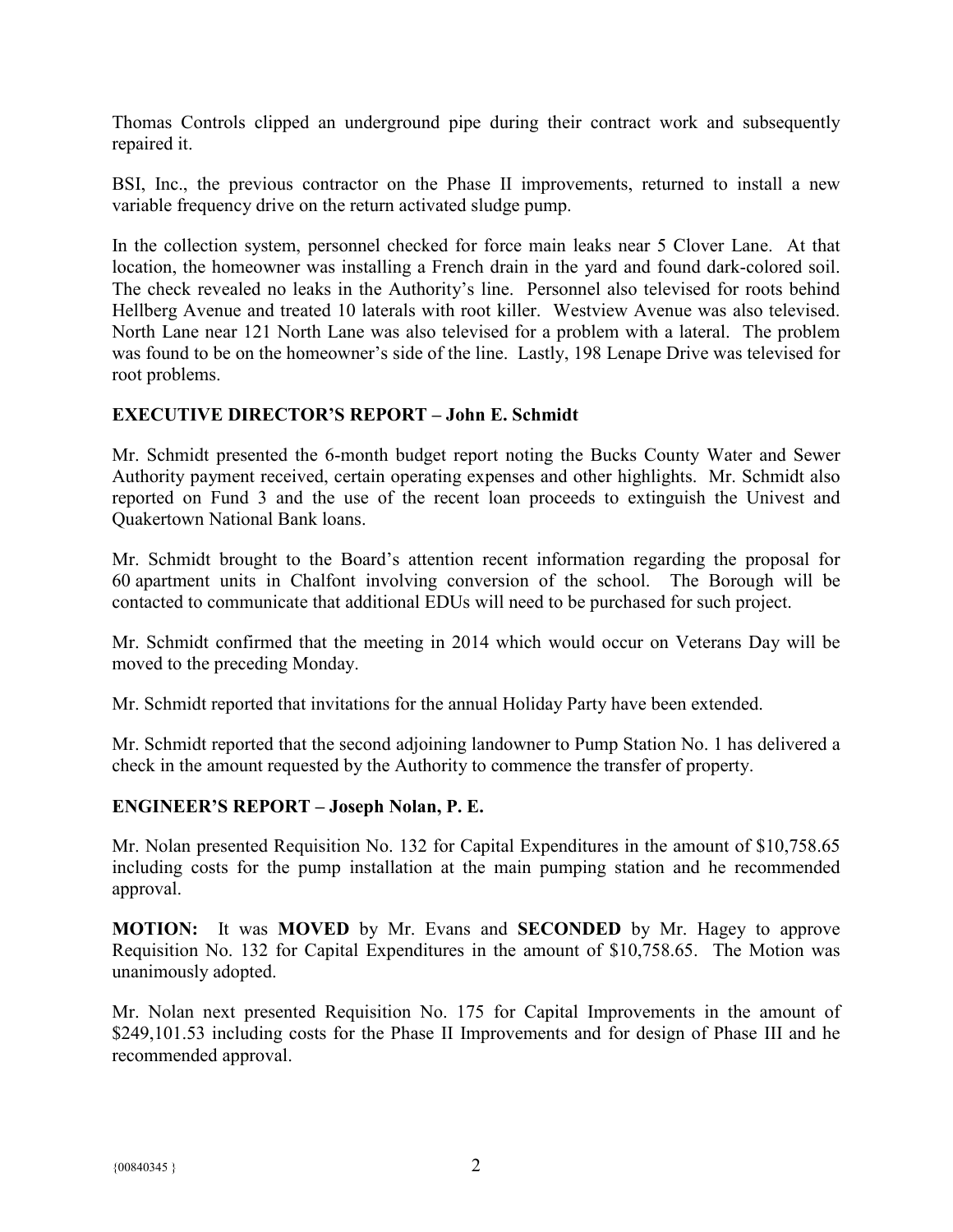Thomas Controls clipped an underground pipe during their contract work and subsequently repaired it.

BSI, Inc., the previous contractor on the Phase II improvements, returned to install a new variable frequency drive on the return activated sludge pump.

In the collection system, personnel checked for force main leaks near 5 Clover Lane. At that location, the homeowner was installing a French drain in the yard and found dark-colored soil. The check revealed no leaks in the Authority's line. Personnel also televised for roots behind Hellberg Avenue and treated 10 laterals with root killer. Westview Avenue was also televised. North Lane near 121 North Lane was also televised for a problem with a lateral. The problem was found to be on the homeowner's side of the line. Lastly, 198 Lenape Drive was televised for root problems.

# **EXECUTIVE DIRECTOR'S REPORT – John E. Schmidt**

Mr. Schmidt presented the 6-month budget report noting the Bucks County Water and Sewer Authority payment received, certain operating expenses and other highlights. Mr. Schmidt also reported on Fund 3 and the use of the recent loan proceeds to extinguish the Univest and Quakertown National Bank loans.

Mr. Schmidt brought to the Board's attention recent information regarding the proposal for 60 apartment units in Chalfont involving conversion of the school. The Borough will be contacted to communicate that additional EDUs will need to be purchased for such project.

Mr. Schmidt confirmed that the meeting in 2014 which would occur on Veterans Day will be moved to the preceding Monday.

Mr. Schmidt reported that invitations for the annual Holiday Party have been extended.

Mr. Schmidt reported that the second adjoining landowner to Pump Station No. 1 has delivered a check in the amount requested by the Authority to commence the transfer of property.

## **ENGINEER'S REPORT – Joseph Nolan, P. E.**

Mr. Nolan presented Requisition No. 132 for Capital Expenditures in the amount of \$10,758.65 including costs for the pump installation at the main pumping station and he recommended approval.

**MOTION:** It was **MOVED** by Mr. Evans and **SECONDED** by Mr. Hagey to approve Requisition No. 132 for Capital Expenditures in the amount of \$10,758.65. The Motion was unanimously adopted.

Mr. Nolan next presented Requisition No. 175 for Capital Improvements in the amount of \$249,101.53 including costs for the Phase II Improvements and for design of Phase III and he recommended approval.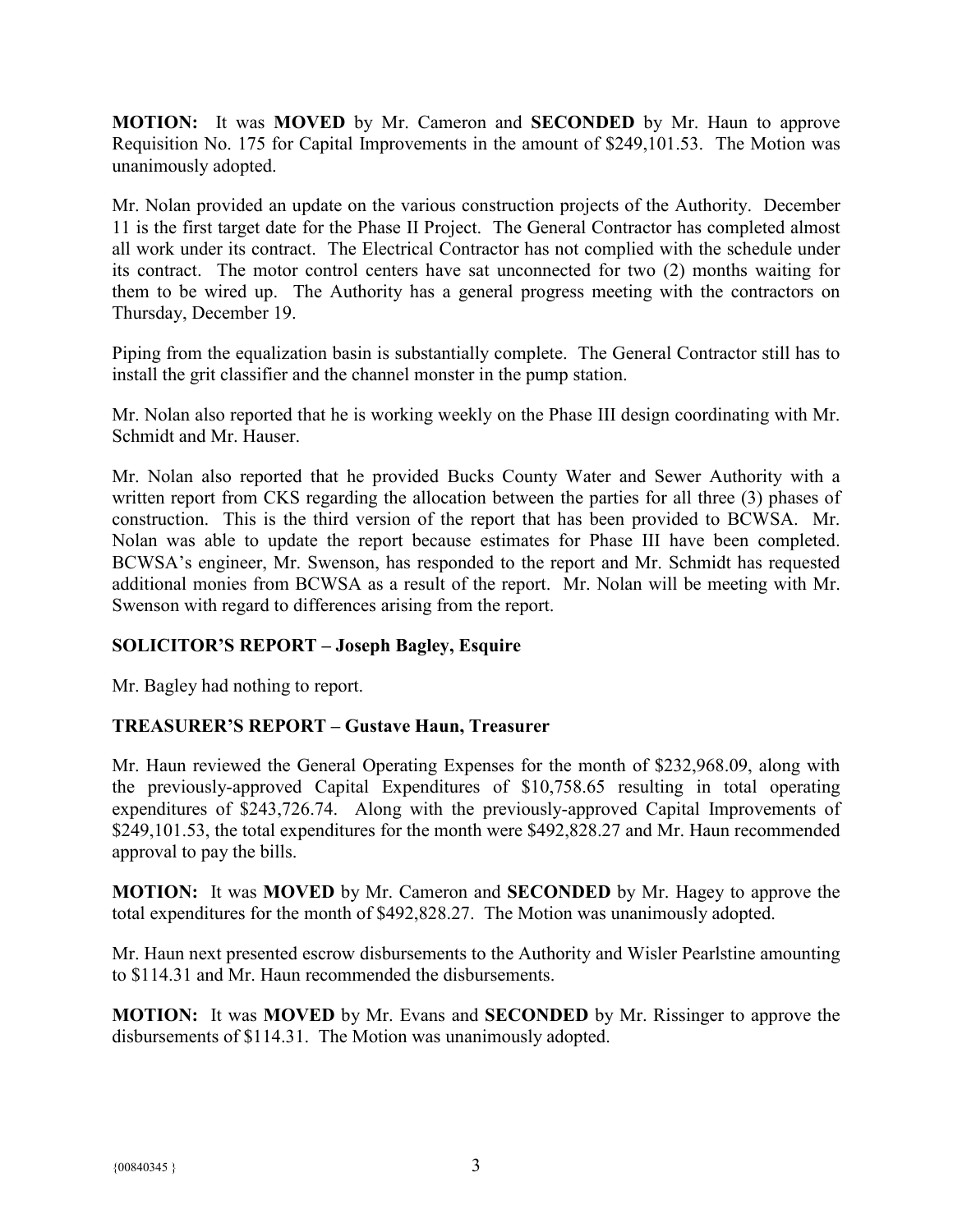**MOTION:** It was **MOVED** by Mr. Cameron and **SECONDED** by Mr. Haun to approve Requisition No. 175 for Capital Improvements in the amount of \$249,101.53. The Motion was unanimously adopted.

Mr. Nolan provided an update on the various construction projects of the Authority. December 11 is the first target date for the Phase II Project. The General Contractor has completed almost all work under its contract. The Electrical Contractor has not complied with the schedule under its contract. The motor control centers have sat unconnected for two (2) months waiting for them to be wired up. The Authority has a general progress meeting with the contractors on Thursday, December 19.

Piping from the equalization basin is substantially complete. The General Contractor still has to install the grit classifier and the channel monster in the pump station.

Mr. Nolan also reported that he is working weekly on the Phase III design coordinating with Mr. Schmidt and Mr. Hauser.

Mr. Nolan also reported that he provided Bucks County Water and Sewer Authority with a written report from CKS regarding the allocation between the parties for all three (3) phases of construction. This is the third version of the report that has been provided to BCWSA. Mr. Nolan was able to update the report because estimates for Phase III have been completed. BCWSA's engineer, Mr. Swenson, has responded to the report and Mr. Schmidt has requested additional monies from BCWSA as a result of the report. Mr. Nolan will be meeting with Mr. Swenson with regard to differences arising from the report.

# **SOLICITOR'S REPORT – Joseph Bagley, Esquire**

Mr. Bagley had nothing to report.

# **TREASURER'S REPORT – Gustave Haun, Treasurer**

Mr. Haun reviewed the General Operating Expenses for the month of \$232,968.09, along with the previously-approved Capital Expenditures of \$10,758.65 resulting in total operating expenditures of \$243,726.74. Along with the previously-approved Capital Improvements of \$249,101.53, the total expenditures for the month were \$492,828.27 and Mr. Haun recommended approval to pay the bills.

**MOTION:** It was **MOVED** by Mr. Cameron and **SECONDED** by Mr. Hagey to approve the total expenditures for the month of \$492,828.27. The Motion was unanimously adopted.

Mr. Haun next presented escrow disbursements to the Authority and Wisler Pearlstine amounting to \$114.31 and Mr. Haun recommended the disbursements.

**MOTION:** It was **MOVED** by Mr. Evans and **SECONDED** by Mr. Rissinger to approve the disbursements of \$114.31. The Motion was unanimously adopted.